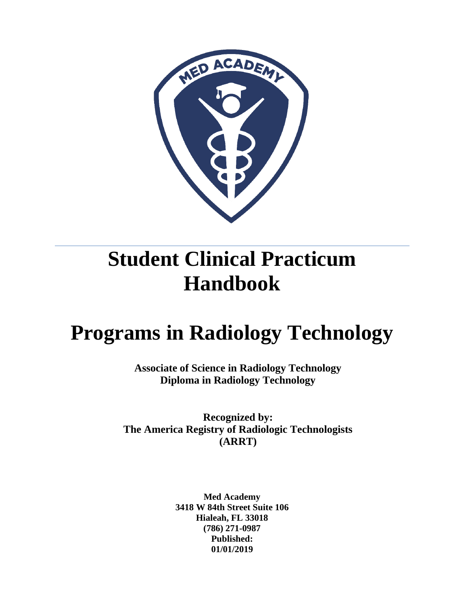

# **Student Clinical Practicum Handbook**

# **Programs in Radiology Technology**

**Associate of Science in Radiology Technology Diploma in Radiology Technology** 

**Recognized by: The America Registry of Radiologic Technologists (ARRT)**

> **Med Academy 3418 W 84th Street Suite 106 Hialeah, FL 33018 (786) 271-0987 Published: 01/01/2019**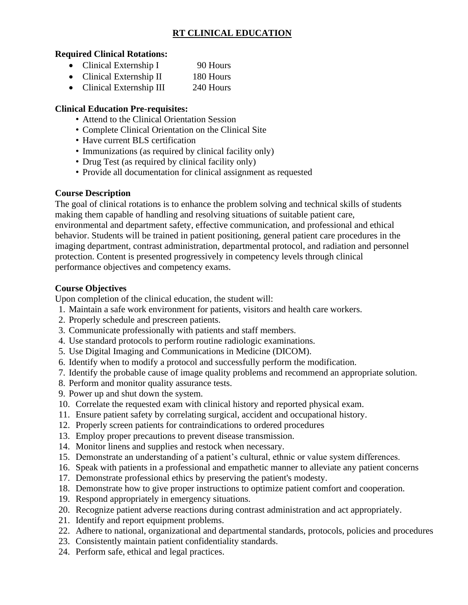#### **RT CLINICAL EDUCATION**

#### **Required Clinical Rotations:**

- Clinical Externship I 90 Hours
- Clinical Externship II 180 Hours
- Clinical Externship III 240 Hours

#### **Clinical Education Pre-requisites:**

- Attend to the Clinical Orientation Session
- Complete Clinical Orientation on the Clinical Site
- Have current BLS certification
- Immunizations (as required by clinical facility only)
- Drug Test (as required by clinical facility only)
- Provide all documentation for clinical assignment as requested

#### **Course Description**

The goal of clinical rotations is to enhance the problem solving and technical skills of students making them capable of handling and resolving situations of suitable patient care, environmental and department safety, effective communication, and professional and ethical behavior. Students will be trained in patient positioning, general patient care procedures in the imaging department, contrast administration, departmental protocol, and radiation and personnel protection. Content is presented progressively in competency levels through clinical performance objectives and competency exams.

#### **Course Objectives**

Upon completion of the clinical education, the student will:

- 1. Maintain a safe work environment for patients, visitors and health care workers.
- 2. Properly schedule and prescreen patients.
- 3. Communicate professionally with patients and staff members.
- 4. Use standard protocols to perform routine radiologic examinations.
- 5. Use Digital Imaging and Communications in Medicine (DICOM).
- 6. Identify when to modify a protocol and successfully perform the modification.
- 7. Identify the probable cause of image quality problems and recommend an appropriate solution.
- 8. Perform and monitor quality assurance tests.
- 9. Power up and shut down the system.
- 10. Correlate the requested exam with clinical history and reported physical exam.
- 11. Ensure patient safety by correlating surgical, accident and occupational history.
- 12. Properly screen patients for contraindications to ordered procedures
- 13. Employ proper precautions to prevent disease transmission.
- 14. Monitor linens and supplies and restock when necessary.
- 15. Demonstrate an understanding of a patient's cultural, ethnic or value system differences.
- 16. Speak with patients in a professional and empathetic manner to alleviate any patient concerns
- 17. Demonstrate professional ethics by preserving the patient's modesty.
- 18. Demonstrate how to give proper instructions to optimize patient comfort and cooperation.
- 19. Respond appropriately in emergency situations.
- 20. Recognize patient adverse reactions during contrast administration and act appropriately.
- 21. Identify and report equipment problems.
- 22. Adhere to national, organizational and departmental standards, protocols, policies and procedures
- 23. Consistently maintain patient confidentiality standards.
- 24. Perform safe, ethical and legal practices.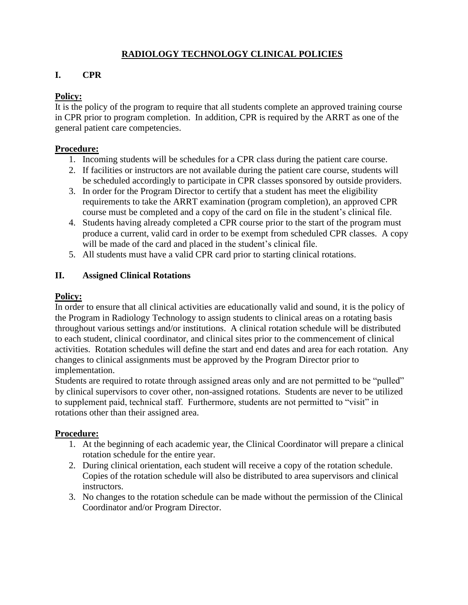#### **RADIOLOGY TECHNOLOGY CLINICAL POLICIES**

#### **I. CPR**

#### **Policy:**

It is the policy of the program to require that all students complete an approved training course in CPR prior to program completion. In addition, CPR is required by the ARRT as one of the general patient care competencies.

#### **Procedure:**

- 1. Incoming students will be schedules for a CPR class during the patient care course.
- 2. If facilities or instructors are not available during the patient care course, students will be scheduled accordingly to participate in CPR classes sponsored by outside providers.
- 3. In order for the Program Director to certify that a student has meet the eligibility requirements to take the ARRT examination (program completion), an approved CPR course must be completed and a copy of the card on file in the student's clinical file.
- 4. Students having already completed a CPR course prior to the start of the program must produce a current, valid card in order to be exempt from scheduled CPR classes. A copy will be made of the card and placed in the student's clinical file.
- 5. All students must have a valid CPR card prior to starting clinical rotations.

#### **II. Assigned Clinical Rotations**

#### **Policy:**

In order to ensure that all clinical activities are educationally valid and sound, it is the policy of the Program in Radiology Technology to assign students to clinical areas on a rotating basis throughout various settings and/or institutions. A clinical rotation schedule will be distributed to each student, clinical coordinator, and clinical sites prior to the commencement of clinical activities. Rotation schedules will define the start and end dates and area for each rotation. Any changes to clinical assignments must be approved by the Program Director prior to implementation.

Students are required to rotate through assigned areas only and are not permitted to be "pulled" by clinical supervisors to cover other, non-assigned rotations. Students are never to be utilized to supplement paid, technical staff. Furthermore, students are not permitted to "visit" in rotations other than their assigned area.

#### **Procedure:**

- 1. At the beginning of each academic year, the Clinical Coordinator will prepare a clinical rotation schedule for the entire year.
- 2. During clinical orientation, each student will receive a copy of the rotation schedule. Copies of the rotation schedule will also be distributed to area supervisors and clinical instructors.
- 3. No changes to the rotation schedule can be made without the permission of the Clinical Coordinator and/or Program Director.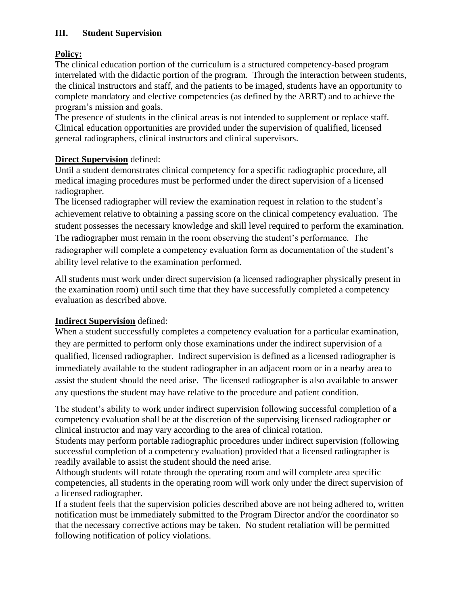#### **III. Student Supervision**

#### **Policy:**

The clinical education portion of the curriculum is a structured competency-based program interrelated with the didactic portion of the program. Through the interaction between students, the clinical instructors and staff, and the patients to be imaged, students have an opportunity to complete mandatory and elective competencies (as defined by the ARRT) and to achieve the program's mission and goals.

The presence of students in the clinical areas is not intended to supplement or replace staff. Clinical education opportunities are provided under the supervision of qualified, licensed general radiographers, clinical instructors and clinical supervisors.

#### **Direct Supervision** defined:

Until a student demonstrates clinical competency for a specific radiographic procedure, all medical imaging procedures must be performed under the direct supervision of a licensed radiographer.

The licensed radiographer will review the examination request in relation to the student's achievement relative to obtaining a passing score on the clinical competency evaluation. The student possesses the necessary knowledge and skill level required to perform the examination. The radiographer must remain in the room observing the student's performance. The radiographer will complete a competency evaluation form as documentation of the student's ability level relative to the examination performed.

All students must work under direct supervision (a licensed radiographer physically present in the examination room) until such time that they have successfully completed a competency evaluation as described above.

#### **Indirect Supervision** defined:

When a student successfully completes a competency evaluation for a particular examination, they are permitted to perform only those examinations under the indirect supervision of a qualified, licensed radiographer. Indirect supervision is defined as a licensed radiographer is immediately available to the student radiographer in an adjacent room or in a nearby area to assist the student should the need arise. The licensed radiographer is also available to answer any questions the student may have relative to the procedure and patient condition.

The student's ability to work under indirect supervision following successful completion of a competency evaluation shall be at the discretion of the supervising licensed radiographer or clinical instructor and may vary according to the area of clinical rotation.

Students may perform portable radiographic procedures under indirect supervision (following successful completion of a competency evaluation) provided that a licensed radiographer is readily available to assist the student should the need arise.

Although students will rotate through the operating room and will complete area specific competencies, all students in the operating room will work only under the direct supervision of a licensed radiographer.

If a student feels that the supervision policies described above are not being adhered to, written notification must be immediately submitted to the Program Director and/or the coordinator so that the necessary corrective actions may be taken. No student retaliation will be permitted following notification of policy violations.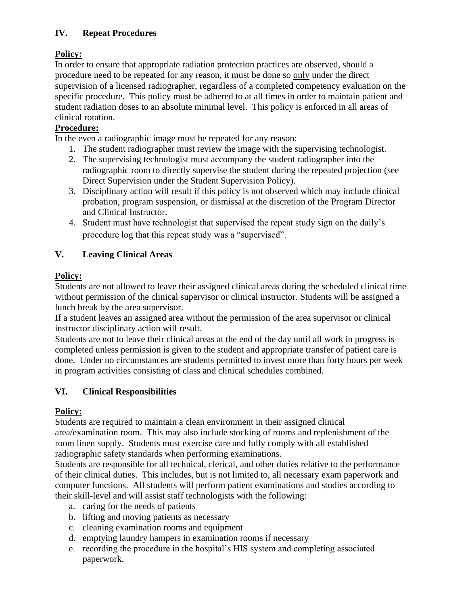#### **IV. Repeat Procedures**

#### **Policy:**

In order to ensure that appropriate radiation protection practices are observed, should a procedure need to be repeated for any reason, it must be done so only under the direct supervision of a licensed radiographer, regardless of a completed competency evaluation on the specific procedure. This policy must be adhered to at all times in order to maintain patient and student radiation doses to an absolute minimal level. This policy is enforced in all areas of clinical rotation.

#### **Procedure:**

In the even a radiographic image must be repeated for any reason:

- 1. The student radiographer must review the image with the supervising technologist.
- 2. The supervising technologist must accompany the student radiographer into the radiographic room to directly supervise the student during the repeated projection (see Direct Supervision under the Student Supervision Policy).
- 3. Disciplinary action will result if this policy is not observed which may include clinical probation, program suspension, or dismissal at the discretion of the Program Director and Clinical Instructor.
- 4. Student must have technologist that supervised the repeat study sign on the daily's procedure log that this repeat study was a "supervised".

#### **V. Leaving Clinical Areas**

#### **Policy:**

Students are not allowed to leave their assigned clinical areas during the scheduled clinical time without permission of the clinical supervisor or clinical instructor. Students will be assigned a lunch break by the area supervisor.

If a student leaves an assigned area without the permission of the area supervisor or clinical instructor disciplinary action will result.

Students are not to leave their clinical areas at the end of the day until all work in progress is completed unless permission is given to the student and appropriate transfer of patient care is done. Under no circumstances are students permitted to invest more than forty hours per week in program activities consisting of class and clinical schedules combined.

#### **VI. Clinical Responsibilities**

#### **Policy:**

Students are required to maintain a clean environment in their assigned clinical area/examination room. This may also include stocking of rooms and replenishment of the room linen supply. Students must exercise care and fully comply with all established radiographic safety standards when performing examinations.

Students are responsible for all technical, clerical, and other duties relative to the performance of their clinical duties. This includes, but is not limited to, all necessary exam paperwork and computer functions. All students will perform patient examinations and studies according to their skill-level and will assist staff technologists with the following:

- a. caring for the needs of patients
- b. lifting and moving patients as necessary
- c. cleaning examination rooms and equipment
- d. emptying laundry hampers in examination rooms if necessary
- e. recording the procedure in the hospital's HIS system and completing associated paperwork.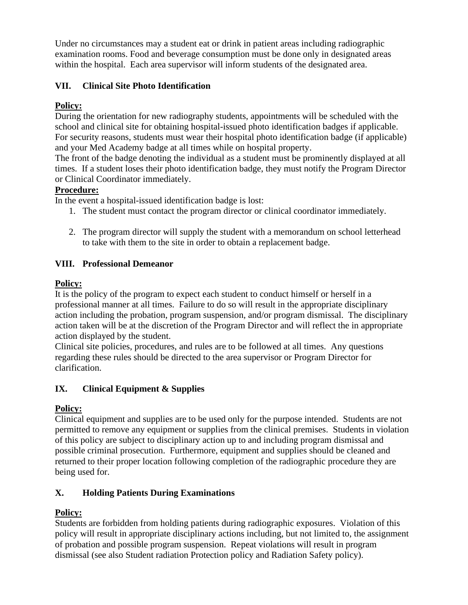Under no circumstances may a student eat or drink in patient areas including radiographic examination rooms. Food and beverage consumption must be done only in designated areas within the hospital. Each area supervisor will inform students of the designated area.

#### **VII. Clinical Site Photo Identification**

#### **Policy:**

During the orientation for new radiography students, appointments will be scheduled with the school and clinical site for obtaining hospital-issued photo identification badges if applicable. For security reasons, students must wear their hospital photo identification badge (if applicable) and your Med Academy badge at all times while on hospital property.

The front of the badge denoting the individual as a student must be prominently displayed at all times. If a student loses their photo identification badge, they must notify the Program Director or Clinical Coordinator immediately.

#### **Procedure:**

In the event a hospital-issued identification badge is lost:

- 1. The student must contact the program director or clinical coordinator immediately.
- 2. The program director will supply the student with a memorandum on school letterhead to take with them to the site in order to obtain a replacement badge.

#### **VIII. Professional Demeanor**

#### **Policy:**

It is the policy of the program to expect each student to conduct himself or herself in a professional manner at all times. Failure to do so will result in the appropriate disciplinary action including the probation, program suspension, and/or program dismissal. The disciplinary action taken will be at the discretion of the Program Director and will reflect the in appropriate action displayed by the student.

Clinical site policies, procedures, and rules are to be followed at all times. Any questions regarding these rules should be directed to the area supervisor or Program Director for clarification.

#### **IX. Clinical Equipment & Supplies**

#### **Policy:**

Clinical equipment and supplies are to be used only for the purpose intended. Students are not permitted to remove any equipment or supplies from the clinical premises. Students in violation of this policy are subject to disciplinary action up to and including program dismissal and possible criminal prosecution. Furthermore, equipment and supplies should be cleaned and returned to their proper location following completion of the radiographic procedure they are being used for.

#### **X. Holding Patients During Examinations**

#### **Policy:**

Students are forbidden from holding patients during radiographic exposures. Violation of this policy will result in appropriate disciplinary actions including, but not limited to, the assignment of probation and possible program suspension. Repeat violations will result in program dismissal (see also Student radiation Protection policy and Radiation Safety policy).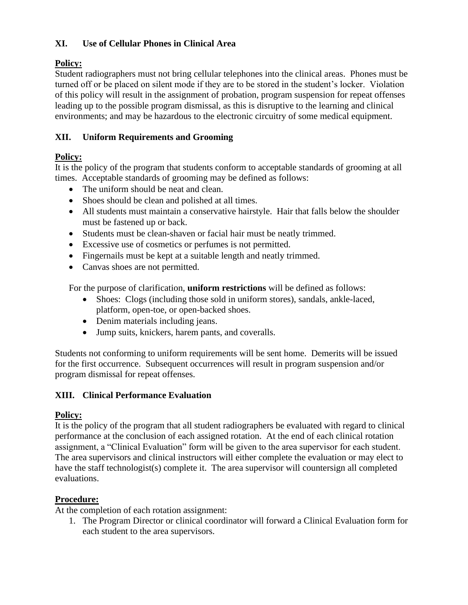#### **XI. Use of Cellular Phones in Clinical Area**

#### **Policy:**

Student radiographers must not bring cellular telephones into the clinical areas. Phones must be turned off or be placed on silent mode if they are to be stored in the student's locker. Violation of this policy will result in the assignment of probation, program suspension for repeat offenses leading up to the possible program dismissal, as this is disruptive to the learning and clinical environments; and may be hazardous to the electronic circuitry of some medical equipment.

#### **XII. Uniform Requirements and Grooming**

#### **Policy:**

It is the policy of the program that students conform to acceptable standards of grooming at all times. Acceptable standards of grooming may be defined as follows:

- The uniform should be neat and clean.
- Shoes should be clean and polished at all times.
- All students must maintain a conservative hairstyle. Hair that falls below the shoulder must be fastened up or back.
- Students must be clean-shaven or facial hair must be neatly trimmed.
- Excessive use of cosmetics or perfumes is not permitted.
- Fingernails must be kept at a suitable length and neatly trimmed.
- Canvas shoes are not permitted.

For the purpose of clarification, **uniform restrictions** will be defined as follows:

- Shoes: Clogs (including those sold in uniform stores), sandals, ankle-laced, platform, open-toe, or open-backed shoes.
- Denim materials including jeans.
- Jump suits, knickers, harem pants, and coveralls.

Students not conforming to uniform requirements will be sent home. Demerits will be issued for the first occurrence. Subsequent occurrences will result in program suspension and/or program dismissal for repeat offenses.

#### **XIII. Clinical Performance Evaluation**

#### **Policy:**

It is the policy of the program that all student radiographers be evaluated with regard to clinical performance at the conclusion of each assigned rotation. At the end of each clinical rotation assignment, a "Clinical Evaluation" form will be given to the area supervisor for each student. The area supervisors and clinical instructors will either complete the evaluation or may elect to have the staff technologist(s) complete it. The area supervisor will countersign all completed evaluations.

#### **Procedure:**

At the completion of each rotation assignment:

1. The Program Director or clinical coordinator will forward a Clinical Evaluation form for each student to the area supervisors.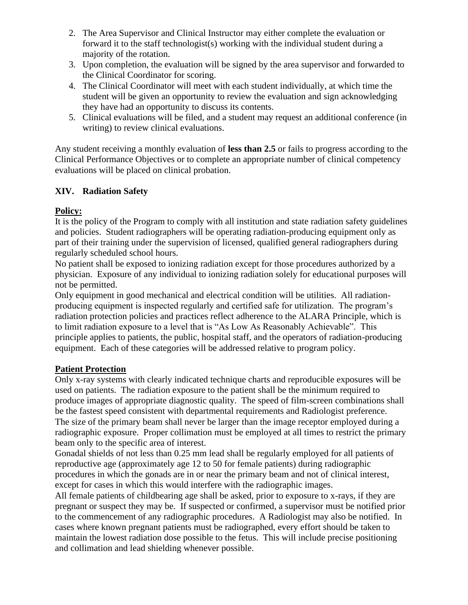- 2. The Area Supervisor and Clinical Instructor may either complete the evaluation or forward it to the staff technologist(s) working with the individual student during a majority of the rotation.
- 3. Upon completion, the evaluation will be signed by the area supervisor and forwarded to the Clinical Coordinator for scoring.
- 4. The Clinical Coordinator will meet with each student individually, at which time the student will be given an opportunity to review the evaluation and sign acknowledging they have had an opportunity to discuss its contents.
- 5. Clinical evaluations will be filed, and a student may request an additional conference (in writing) to review clinical evaluations.

Any student receiving a monthly evaluation of **less than 2.5** or fails to progress according to the Clinical Performance Objectives or to complete an appropriate number of clinical competency evaluations will be placed on clinical probation.

#### **XIV. Radiation Safety**

#### **Policy:**

It is the policy of the Program to comply with all institution and state radiation safety guidelines and policies. Student radiographers will be operating radiation-producing equipment only as part of their training under the supervision of licensed, qualified general radiographers during regularly scheduled school hours.

No patient shall be exposed to ionizing radiation except for those procedures authorized by a physician. Exposure of any individual to ionizing radiation solely for educational purposes will not be permitted.

Only equipment in good mechanical and electrical condition will be utilities. All radiationproducing equipment is inspected regularly and certified safe for utilization. The program's radiation protection policies and practices reflect adherence to the ALARA Principle, which is to limit radiation exposure to a level that is "As Low As Reasonably Achievable". This principle applies to patients, the public, hospital staff, and the operators of radiation-producing equipment. Each of these categories will be addressed relative to program policy.

#### **Patient Protection**

Only x-ray systems with clearly indicated technique charts and reproducible exposures will be used on patients. The radiation exposure to the patient shall be the minimum required to produce images of appropriate diagnostic quality. The speed of film-screen combinations shall be the fastest speed consistent with departmental requirements and Radiologist preference. The size of the primary beam shall never be larger than the image receptor employed during a radiographic exposure. Proper collimation must be employed at all times to restrict the primary beam only to the specific area of interest.

Gonadal shields of not less than 0.25 mm lead shall be regularly employed for all patients of reproductive age (approximately age 12 to 50 for female patients) during radiographic procedures in which the gonads are in or near the primary beam and not of clinical interest, except for cases in which this would interfere with the radiographic images.

All female patients of childbearing age shall be asked, prior to exposure to x-rays, if they are pregnant or suspect they may be. If suspected or confirmed, a supervisor must be notified prior to the commencement of any radiographic procedures. A Radiologist may also be notified. In cases where known pregnant patients must be radiographed, every effort should be taken to maintain the lowest radiation dose possible to the fetus. This will include precise positioning and collimation and lead shielding whenever possible.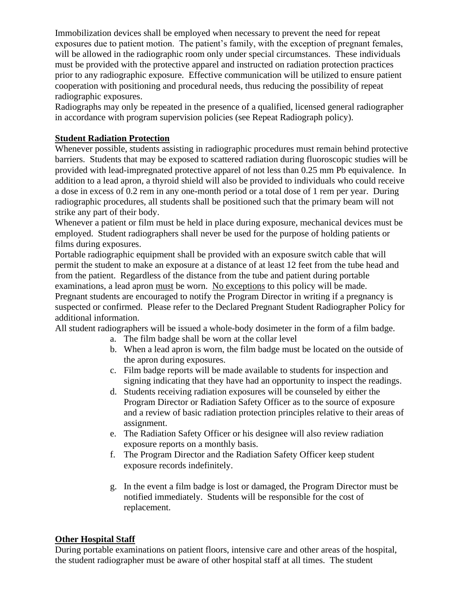Immobilization devices shall be employed when necessary to prevent the need for repeat exposures due to patient motion. The patient's family, with the exception of pregnant females, will be allowed in the radiographic room only under special circumstances. These individuals must be provided with the protective apparel and instructed on radiation protection practices prior to any radiographic exposure. Effective communication will be utilized to ensure patient cooperation with positioning and procedural needs, thus reducing the possibility of repeat radiographic exposures.

Radiographs may only be repeated in the presence of a qualified, licensed general radiographer in accordance with program supervision policies (see Repeat Radiograph policy).

#### **Student Radiation Protection**

Whenever possible, students assisting in radiographic procedures must remain behind protective barriers. Students that may be exposed to scattered radiation during fluoroscopic studies will be provided with lead-impregnated protective apparel of not less than 0.25 mm Pb equivalence. In addition to a lead apron, a thyroid shield will also be provided to individuals who could receive a dose in excess of 0.2 rem in any one-month period or a total dose of 1 rem per year. During radiographic procedures, all students shall be positioned such that the primary beam will not strike any part of their body.

Whenever a patient or film must be held in place during exposure, mechanical devices must be employed. Student radiographers shall never be used for the purpose of holding patients or films during exposures.

Portable radiographic equipment shall be provided with an exposure switch cable that will permit the student to make an exposure at a distance of at least 12 feet from the tube head and from the patient. Regardless of the distance from the tube and patient during portable examinations, a lead apron must be worn. No exceptions to this policy will be made. Pregnant students are encouraged to notify the Program Director in writing if a pregnancy is suspected or confirmed. Please refer to the Declared Pregnant Student Radiographer Policy for additional information.

All student radiographers will be issued a whole-body dosimeter in the form of a film badge.

- a. The film badge shall be worn at the collar level
- b. When a lead apron is worn, the film badge must be located on the outside of the apron during exposures.
- c. Film badge reports will be made available to students for inspection and signing indicating that they have had an opportunity to inspect the readings.
- d. Students receiving radiation exposures will be counseled by either the Program Director or Radiation Safety Officer as to the source of exposure and a review of basic radiation protection principles relative to their areas of assignment.
- e. The Radiation Safety Officer or his designee will also review radiation exposure reports on a monthly basis.
- f. The Program Director and the Radiation Safety Officer keep student exposure records indefinitely.
- g. In the event a film badge is lost or damaged, the Program Director must be notified immediately. Students will be responsible for the cost of replacement.

#### **Other Hospital Staff**

During portable examinations on patient floors, intensive care and other areas of the hospital, the student radiographer must be aware of other hospital staff at all times. The student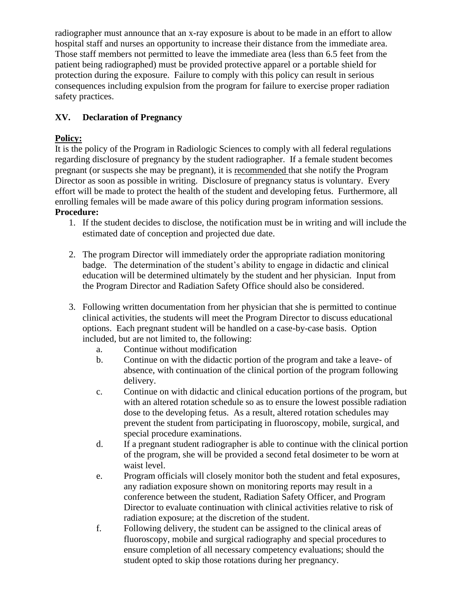radiographer must announce that an x-ray exposure is about to be made in an effort to allow hospital staff and nurses an opportunity to increase their distance from the immediate area. Those staff members not permitted to leave the immediate area (less than 6.5 feet from the patient being radiographed) must be provided protective apparel or a portable shield for protection during the exposure. Failure to comply with this policy can result in serious consequences including expulsion from the program for failure to exercise proper radiation safety practices.

#### **XV. Declaration of Pregnancy**

#### **Policy:**

It is the policy of the Program in Radiologic Sciences to comply with all federal regulations regarding disclosure of pregnancy by the student radiographer. If a female student becomes pregnant (or suspects she may be pregnant), it is recommended that she notify the Program Director as soon as possible in writing. Disclosure of pregnancy status is voluntary. Every effort will be made to protect the health of the student and developing fetus. Furthermore, all enrolling females will be made aware of this policy during program information sessions. **Procedure:**

- 1. If the student decides to disclose, the notification must be in writing and will include the estimated date of conception and projected due date.
- 2. The program Director will immediately order the appropriate radiation monitoring badge. The determination of the student's ability to engage in didactic and clinical education will be determined ultimately by the student and her physician. Input from the Program Director and Radiation Safety Office should also be considered.
- 3. Following written documentation from her physician that she is permitted to continue clinical activities, the students will meet the Program Director to discuss educational options. Each pregnant student will be handled on a case-by-case basis. Option included, but are not limited to, the following:
	- a. Continue without modification
	- b. Continue on with the didactic portion of the program and take a leave- of absence, with continuation of the clinical portion of the program following delivery.
	- c. Continue on with didactic and clinical education portions of the program, but with an altered rotation schedule so as to ensure the lowest possible radiation dose to the developing fetus. As a result, altered rotation schedules may prevent the student from participating in fluoroscopy, mobile, surgical, and special procedure examinations.
	- d. If a pregnant student radiographer is able to continue with the clinical portion of the program, she will be provided a second fetal dosimeter to be worn at waist level.
	- e. Program officials will closely monitor both the student and fetal exposures, any radiation exposure shown on monitoring reports may result in a conference between the student, Radiation Safety Officer, and Program Director to evaluate continuation with clinical activities relative to risk of radiation exposure; at the discretion of the student.
	- f. Following delivery, the student can be assigned to the clinical areas of fluoroscopy, mobile and surgical radiography and special procedures to ensure completion of all necessary competency evaluations; should the student opted to skip those rotations during her pregnancy.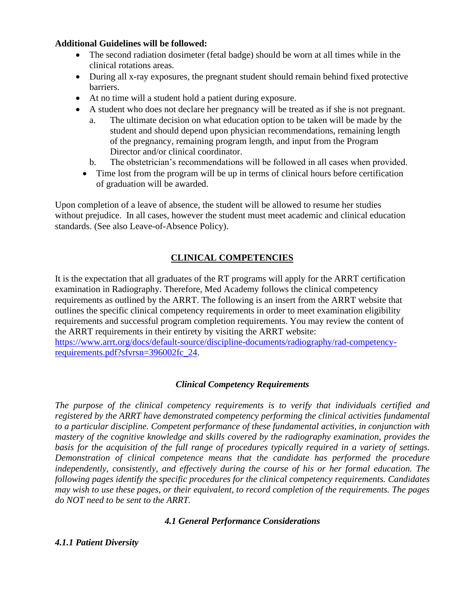#### **Additional Guidelines will be followed:**

- The second radiation dosimeter (fetal badge) should be worn at all times while in the clinical rotations areas.
- During all x-ray exposures, the pregnant student should remain behind fixed protective barriers.
- At no time will a student hold a patient during exposure.
- A student who does not declare her pregnancy will be treated as if she is not pregnant.
	- a. The ultimate decision on what education option to be taken will be made by the student and should depend upon physician recommendations, remaining length of the pregnancy, remaining program length, and input from the Program Director and/or clinical coordinator.
	- b. The obstetrician's recommendations will be followed in all cases when provided.
	- Time lost from the program will be up in terms of clinical hours before certification of graduation will be awarded.

Upon completion of a leave of absence, the student will be allowed to resume her studies without prejudice. In all cases, however the student must meet academic and clinical education standards. (See also Leave-of-Absence Policy).

#### **CLINICAL COMPETENCIES**

It is the expectation that all graduates of the RT programs will apply for the ARRT certification examination in Radiography. Therefore, Med Academy follows the clinical competency requirements as outlined by the ARRT. The following is an insert from the ARRT website that outlines the specific clinical competency requirements in order to meet examination eligibility requirements and successful program completion requirements. You may review the content of the ARRT requirements in their entirety by visiting the ARRT website: [https://www.arrt.org/docs/default-source/discipline-documents/radiography/rad-competency](https://www.arrt.org/docs/default-source/discipline-documents/radiography/rad-competency-requirements.pdf?sfvrsn=396002fc_24)[requirements.pdf?sfvrsn=396002fc\\_24.](https://www.arrt.org/docs/default-source/discipline-documents/radiography/rad-competency-requirements.pdf?sfvrsn=396002fc_24)

#### *Clinical Competency Requirements*

*The purpose of the clinical competency requirements is to verify that individuals certified and registered by the ARRT have demonstrated competency performing the clinical activities fundamental to a particular discipline. Competent performance of these fundamental activities, in conjunction with mastery of the cognitive knowledge and skills covered by the radiography examination, provides the basis for the acquisition of the full range of procedures typically required in a variety of settings. Demonstration of clinical competence means that the candidate has performed the procedure independently, consistently, and effectively during the course of his or her formal education. The following pages identify the specific procedures for the clinical competency requirements. Candidates may wish to use these pages, or their equivalent, to record completion of the requirements. The pages do NOT need to be sent to the ARRT.* 

#### *4.1 General Performance Considerations*

#### *4.1.1 Patient Diversity*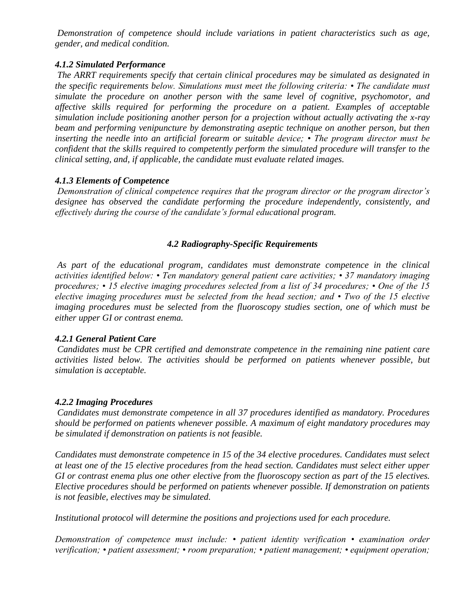*Demonstration of competence should include variations in patient characteristics such as age, gender, and medical condition.* 

#### *4.1.2 Simulated Performance*

*The ARRT requirements specify that certain clinical procedures may be simulated as designated in the specific requirements below. Simulations must meet the following criteria: • The candidate must simulate the procedure on another person with the same level of cognitive, psychomotor, and affective skills required for performing the procedure on a patient. Examples of acceptable simulation include positioning another person for a projection without actually activating the x-ray beam and performing venipuncture by demonstrating aseptic technique on another person, but then inserting the needle into an artificial forearm or suitable device; • The program director must be confident that the skills required to competently perform the simulated procedure will transfer to the clinical setting, and, if applicable, the candidate must evaluate related images.* 

#### *4.1.3 Elements of Competence*

*Demonstration of clinical competence requires that the program director or the program director's designee has observed the candidate performing the procedure independently, consistently, and effectively during the course of the candidate's formal educational program.* 

#### *4.2 Radiography-Specific Requirements*

*As part of the educational program, candidates must demonstrate competence in the clinical activities identified below: • Ten mandatory general patient care activities; • 37 mandatory imaging procedures; • 15 elective imaging procedures selected from a list of 34 procedures; • One of the 15 elective imaging procedures must be selected from the head section; and • Two of the 15 elective imaging procedures must be selected from the fluoroscopy studies section, one of which must be either upper GI or contrast enema.* 

#### *4.2.1 General Patient Care*

*Candidates must be CPR certified and demonstrate competence in the remaining nine patient care activities listed below. The activities should be performed on patients whenever possible, but simulation is acceptable.* 

#### *4.2.2 Imaging Procedures*

*Candidates must demonstrate competence in all 37 procedures identified as mandatory. Procedures should be performed on patients whenever possible. A maximum of eight mandatory procedures may be simulated if demonstration on patients is not feasible.* 

*Candidates must demonstrate competence in 15 of the 34 elective procedures. Candidates must select at least one of the 15 elective procedures from the head section. Candidates must select either upper GI or contrast enema plus one other elective from the fluoroscopy section as part of the 15 electives. Elective procedures should be performed on patients whenever possible. If demonstration on patients is not feasible, electives may be simulated.* 

*Institutional protocol will determine the positions and projections used for each procedure.* 

*Demonstration of competence must include: • patient identity verification • examination order verification; • patient assessment; • room preparation; • patient management; • equipment operation;*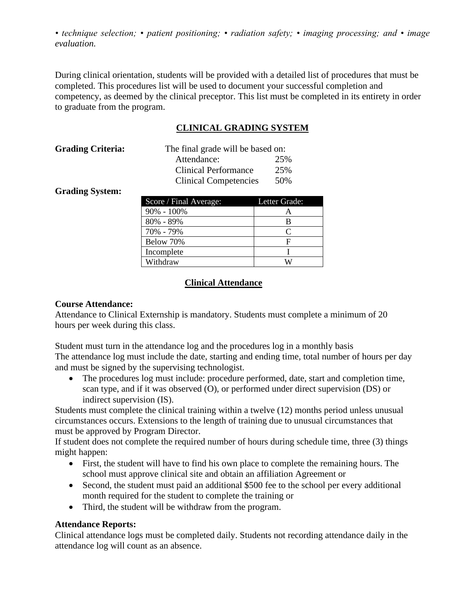*• technique selection; • patient positioning; • radiation safety; • imaging processing; and • image evaluation.* 

During clinical orientation, students will be provided with a detailed list of procedures that must be completed. This procedures list will be used to document your successful completion and competency, as deemed by the clinical preceptor. This list must be completed in its entirety in order to graduate from the program.

#### **CLINICAL GRADING SYSTEM**

| <b>Grading Criteria:</b> | The final grade will be based on: |     |
|--------------------------|-----------------------------------|-----|
|                          | Attendance:                       | 25% |
|                          | Clinical Performance              | 25% |
|                          | <b>Clinical Competencies</b>      | 50% |

**Grading System:**

| Score / Final Average: | Letter Grade: |
|------------------------|---------------|
| $90\% - 100\%$         | А             |
| 80% - 89%              | B             |
| 70% - 79%              | $\Gamma$      |
| Below 70%              | F             |
| Incomplete             |               |
| Withdraw               | W             |

#### **Clinical Attendance**

#### **Course Attendance:**

Attendance to Clinical Externship is mandatory. Students must complete a minimum of 20 hours per week during this class.

Student must turn in the attendance log and the procedures log in a monthly basis The attendance log must include the date, starting and ending time, total number of hours per day and must be signed by the supervising technologist.

• The procedures log must include: procedure performed, date, start and completion time, scan type, and if it was observed (O), or performed under direct supervision (DS) or indirect supervision (IS).

Students must complete the clinical training within a twelve (12) months period unless unusual circumstances occurs. Extensions to the length of training due to unusual circumstances that must be approved by Program Director.

If student does not complete the required number of hours during schedule time, three (3) things might happen:

- First, the student will have to find his own place to complete the remaining hours. The school must approve clinical site and obtain an affiliation Agreement or
- Second, the student must paid an additional \$500 fee to the school per every additional month required for the student to complete the training or
- Third, the student will be withdraw from the program.

#### **Attendance Reports:**

Clinical attendance logs must be completed daily. Students not recording attendance daily in the attendance log will count as an absence.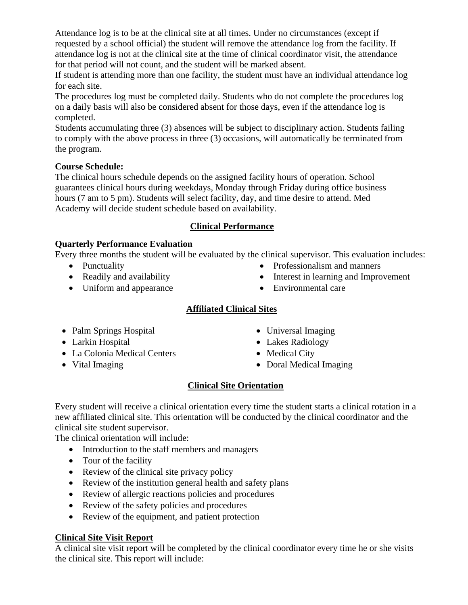Attendance log is to be at the clinical site at all times. Under no circumstances (except if requested by a school official) the student will remove the attendance log from the facility. If attendance log is not at the clinical site at the time of clinical coordinator visit, the attendance for that period will not count, and the student will be marked absent.

If student is attending more than one facility, the student must have an individual attendance log for each site.

The procedures log must be completed daily. Students who do not complete the procedures log on a daily basis will also be considered absent for those days, even if the attendance log is completed.

Students accumulating three (3) absences will be subject to disciplinary action. Students failing to comply with the above process in three (3) occasions, will automatically be terminated from the program.

#### **Course Schedule:**

The clinical hours schedule depends on the assigned facility hours of operation. School guarantees clinical hours during weekdays, Monday through Friday during office business hours (7 am to 5 pm). Students will select facility, day, and time desire to attend. Med Academy will decide student schedule based on availability.

#### **Clinical Performance**

#### **Quarterly Performance Evaluation**

Every three months the student will be evaluated by the clinical supervisor. This evaluation includes:

- Punctuality
- Readily and availability
- Uniform and appearance
- Professionalism and manners
- Interest in learning and Improvement
- Environmental care

#### **Affiliated Clinical Sites**

- Palm Springs Hospital
- Larkin Hospital
- La Colonia Medical Centers
- Vital Imaging
- Universal Imaging
- Lakes Radiology
- Medical City
- Doral Medical Imaging

#### **Clinical Site Orientation**

Every student will receive a clinical orientation every time the student starts a clinical rotation in a new affiliated clinical site. This orientation will be conducted by the clinical coordinator and the clinical site student supervisor.

The clinical orientation will include:

- Introduction to the staff members and managers
- Tour of the facility
- Review of the clinical site privacy policy
- Review of the institution general health and safety plans
- Review of allergic reactions policies and procedures
- Review of the safety policies and procedures
- Review of the equipment, and patient protection

#### **Clinical Site Visit Report**

A clinical site visit report will be completed by the clinical coordinator every time he or she visits the clinical site. This report will include: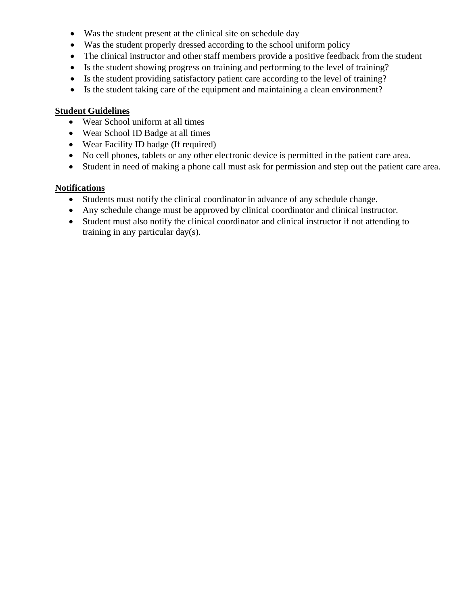- Was the student present at the clinical site on schedule day
- Was the student properly dressed according to the school uniform policy
- The clinical instructor and other staff members provide a positive feedback from the student
- Is the student showing progress on training and performing to the level of training?
- Is the student providing satisfactory patient care according to the level of training?
- Is the student taking care of the equipment and maintaining a clean environment?

#### **Student Guidelines**

- Wear School uniform at all times
- Wear School ID Badge at all times
- Wear Facility ID badge (If required)
- No cell phones, tablets or any other electronic device is permitted in the patient care area.
- Student in need of making a phone call must ask for permission and step out the patient care area.

#### **Notifications**

- Students must notify the clinical coordinator in advance of any schedule change.
- Any schedule change must be approved by clinical coordinator and clinical instructor.
- Student must also notify the clinical coordinator and clinical instructor if not attending to training in any particular day(s).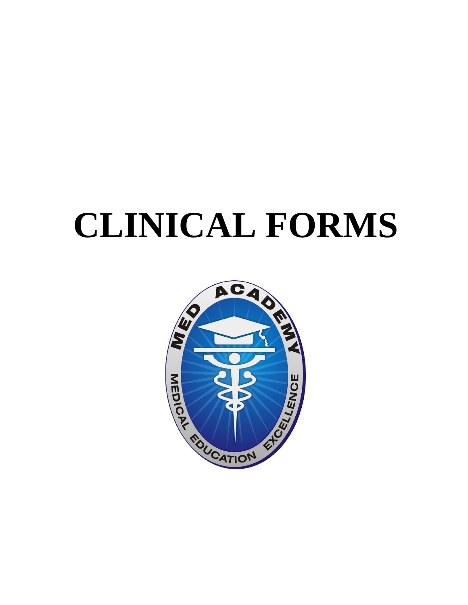# **CLINICAL FORMS**

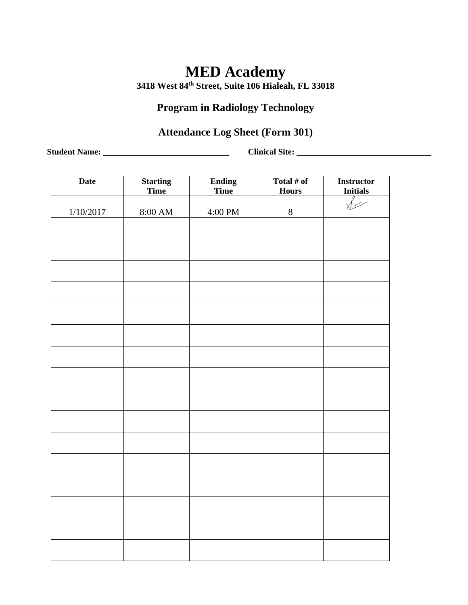**3418 West 84th Street, Suite 106 Hialeah, FL 33018** 

## **Program in Radiology Technology**

## **Attendance Log Sheet (Form 301)**

**Student Name: \_\_\_\_\_\_\_\_\_\_\_\_\_\_\_\_\_\_\_\_\_\_\_\_\_\_\_\_\_\_ Clinical Site: \_\_\_\_\_\_\_\_\_\_\_\_\_\_\_\_\_\_\_\_\_\_\_\_\_\_\_\_\_\_\_\_**

| <b>Date</b> | <b>Starting</b><br>Time | <b>Ending</b><br>Time | Total $#$ of<br><b>Hours</b> | <b>Instructor</b><br><b>Initials</b> |
|-------------|-------------------------|-----------------------|------------------------------|--------------------------------------|
| 1/10/2017   | $8:00~\mathrm{AM}$      | 4:00 PM               | $8\,$                        |                                      |
|             |                         |                       |                              |                                      |
|             |                         |                       |                              |                                      |
|             |                         |                       |                              |                                      |
|             |                         |                       |                              |                                      |
|             |                         |                       |                              |                                      |
|             |                         |                       |                              |                                      |
|             |                         |                       |                              |                                      |
|             |                         |                       |                              |                                      |
|             |                         |                       |                              |                                      |
|             |                         |                       |                              |                                      |
|             |                         |                       |                              |                                      |
|             |                         |                       |                              |                                      |
|             |                         |                       |                              |                                      |
|             |                         |                       |                              |                                      |
|             |                         |                       |                              |                                      |
|             |                         |                       |                              |                                      |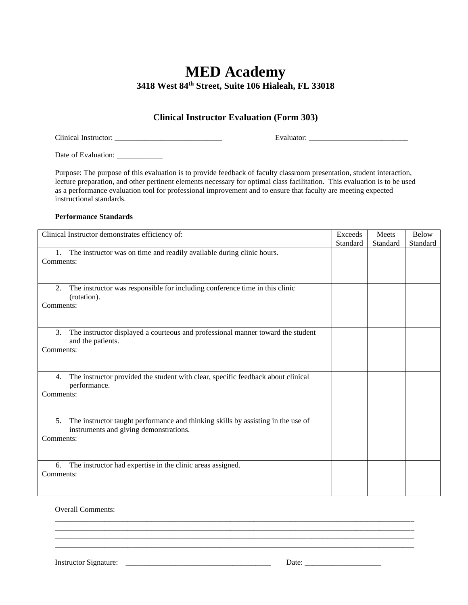### **MED Academy 3418 West 84th Street, Suite 106 Hialeah, FL 33018**

#### **Clinical Instructor Evaluation (Form 303)**

Clinical Instructor: \_\_\_\_\_\_\_\_\_\_\_\_\_\_\_\_\_\_\_\_\_\_\_\_\_\_\_\_ Evaluator: \_\_\_\_\_\_\_\_\_\_\_\_\_\_\_\_\_\_\_\_\_\_\_\_\_\_

Date of Evaluation: \_\_\_\_\_\_\_\_\_\_\_\_\_

Purpose: The purpose of this evaluation is to provide feedback of faculty classroom presentation, student interaction, lecture preparation, and other pertinent elements necessary for optimal class facilitation. This evaluation is to be used as a performance evaluation tool for professional improvement and to ensure that faculty are meeting expected instructional standards.

#### **Performance Standards**

| Clinical Instructor demonstrates efficiency of:                                                                                               | Exceeds  | Meets    | <b>Below</b> |
|-----------------------------------------------------------------------------------------------------------------------------------------------|----------|----------|--------------|
|                                                                                                                                               | Standard | Standard | Standard     |
| The instructor was on time and readily available during clinic hours.<br>1.<br>Comments:                                                      |          |          |              |
| The instructor was responsible for including conference time in this clinic<br>2.<br>(rotation).<br>Comments:                                 |          |          |              |
| 3.<br>The instructor displayed a courteous and professional manner toward the student<br>and the patients.<br>Comments:                       |          |          |              |
| The instructor provided the student with clear, specific feedback about clinical<br>4.<br>performance.<br>Comments:                           |          |          |              |
| The instructor taught performance and thinking skills by assisting in the use of<br>5.<br>instruments and giving demonstrations.<br>Comments: |          |          |              |
| The instructor had expertise in the clinic areas assigned.<br>6.<br>Comments:                                                                 |          |          |              |

\_\_\_\_\_\_\_\_\_\_\_\_\_\_\_\_\_\_\_\_\_\_\_\_\_\_\_\_\_\_\_\_\_\_\_\_\_\_\_\_\_\_\_\_\_\_\_\_\_\_\_\_\_\_\_\_\_\_\_\_\_\_\_\_\_\_\_\_\_\_\_\_\_\_\_\_\_\_\_\_\_\_\_\_\_\_\_\_\_\_\_\_\_\_

\_\_\_\_\_\_\_\_\_\_\_\_\_\_\_\_\_\_\_\_\_\_\_\_\_\_\_\_\_\_\_\_\_\_\_\_\_\_\_\_\_\_\_\_\_\_\_\_\_\_\_\_\_\_\_\_\_\_\_\_\_\_\_\_\_\_\_\_\_\_\_\_\_\_\_\_\_\_\_\_\_\_\_\_\_\_\_\_\_\_\_\_\_\_ \_\_\_\_\_\_\_\_\_\_\_\_\_\_\_\_\_\_\_\_\_\_\_\_\_\_\_\_\_\_\_\_\_\_\_\_\_\_\_\_\_\_\_\_\_\_\_\_\_\_\_\_\_\_\_\_\_\_\_\_\_\_\_\_\_\_\_\_\_\_\_\_\_\_\_\_\_\_\_\_\_\_\_\_\_\_\_\_\_\_\_\_\_\_

Overall Comments:

Instructor Signature: \_\_\_\_\_\_\_\_\_\_\_\_\_\_\_\_\_\_\_\_\_\_\_\_\_\_\_\_\_\_\_\_\_\_\_\_\_\_ Date: \_\_\_\_\_\_\_\_\_\_\_\_\_\_\_\_\_\_\_\_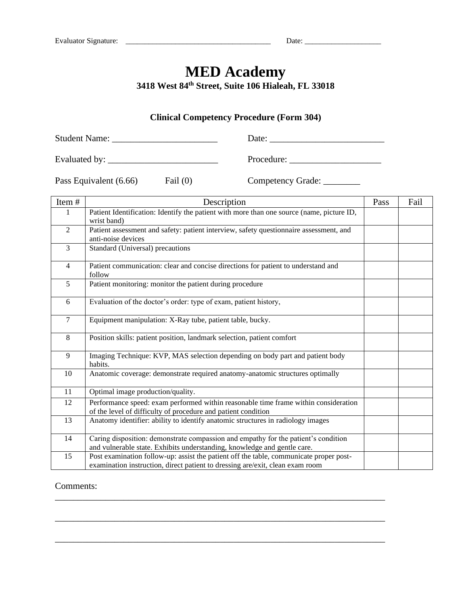**3418 West 84th Street, Suite 106 Hialeah, FL 33018** 

#### **Clinical Competency Procedure (Form 304)**

Student Name: \_\_\_\_\_\_\_\_\_\_\_\_\_\_\_\_\_\_\_\_\_\_\_ Date: \_\_\_\_\_\_\_\_\_\_\_\_\_\_\_\_\_\_\_\_\_\_\_\_\_

Evaluated by: \_\_\_\_\_\_\_\_\_\_\_\_\_\_\_\_\_\_\_\_\_\_\_\_ Procedure: \_\_\_\_\_\_\_\_\_\_\_\_\_\_\_\_\_\_\_\_

Pass Equivalent (6.66) Fail (0) Competency Grade: \_\_\_\_\_\_\_\_

| Item#          | Description                                                                                                                                                             | Pass | Fail |
|----------------|-------------------------------------------------------------------------------------------------------------------------------------------------------------------------|------|------|
| 1              | Patient Identification: Identify the patient with more than one source (name, picture ID,<br>wrist band)                                                                |      |      |
| $\overline{2}$ | Patient assessment and safety: patient interview, safety questionnaire assessment, and<br>anti-noise devices                                                            |      |      |
| 3              | Standard (Universal) precautions                                                                                                                                        |      |      |
| 4              | Patient communication: clear and concise directions for patient to understand and<br>follow                                                                             |      |      |
| 5              | Patient monitoring: monitor the patient during procedure                                                                                                                |      |      |
| 6              | Evaluation of the doctor's order: type of exam, patient history,                                                                                                        |      |      |
| $\overline{7}$ | Equipment manipulation: X-Ray tube, patient table, bucky.                                                                                                               |      |      |
| 8              | Position skills: patient position, landmark selection, patient comfort                                                                                                  |      |      |
| 9              | Imaging Technique: KVP, MAS selection depending on body part and patient body<br>habits.                                                                                |      |      |
| 10             | Anatomic coverage: demonstrate required anatomy-anatomic structures optimally                                                                                           |      |      |
| 11             | Optimal image production/quality.                                                                                                                                       |      |      |
| 12             | Performance speed: exam performed within reasonable time frame within consideration<br>of the level of difficulty of procedure and patient condition                    |      |      |
| 13             | Anatomy identifier: ability to identify anatomic structures in radiology images                                                                                         |      |      |
| 14             | Caring disposition: demonstrate compassion and empathy for the patient's condition<br>and vulnerable state. Exhibits understanding, knowledge and gentle care.          |      |      |
| 15             | Post examination follow-up: assist the patient off the table, communicate proper post-<br>examination instruction, direct patient to dressing are/exit, clean exam room |      |      |

\_\_\_\_\_\_\_\_\_\_\_\_\_\_\_\_\_\_\_\_\_\_\_\_\_\_\_\_\_\_\_\_\_\_\_\_\_\_\_\_\_\_\_\_\_\_\_\_\_\_\_\_\_\_\_\_\_\_\_\_\_\_\_\_\_\_\_\_\_\_\_\_

\_\_\_\_\_\_\_\_\_\_\_\_\_\_\_\_\_\_\_\_\_\_\_\_\_\_\_\_\_\_\_\_\_\_\_\_\_\_\_\_\_\_\_\_\_\_\_\_\_\_\_\_\_\_\_\_\_\_\_\_\_\_\_\_\_\_\_\_\_\_\_\_

\_\_\_\_\_\_\_\_\_\_\_\_\_\_\_\_\_\_\_\_\_\_\_\_\_\_\_\_\_\_\_\_\_\_\_\_\_\_\_\_\_\_\_\_\_\_\_\_\_\_\_\_\_\_\_\_\_\_\_\_\_\_\_\_\_\_\_\_\_\_\_\_

#### Comments: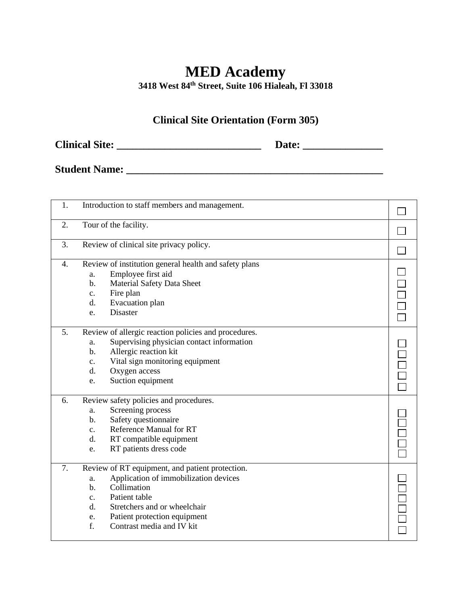**3418 West 84th Street, Suite 106 Hialeah, Fl 33018** 

## **Clinical Site Orientation (Form 305)**

**Clinical Site: \_\_\_\_\_\_\_\_\_\_\_\_\_\_\_\_\_\_\_\_\_\_\_\_\_\_\_ Date: \_\_\_\_\_\_\_\_\_\_\_\_\_\_\_**

**Student Name: \_\_\_\_\_\_\_\_\_\_\_\_\_\_\_\_\_\_\_\_\_\_\_\_\_\_\_\_\_\_\_\_\_\_\_\_\_\_\_\_\_\_\_\_\_\_\_\_**

| 1. | Introduction to staff members and management.         |  |
|----|-------------------------------------------------------|--|
| 2. | Tour of the facility.                                 |  |
| 3. | Review of clinical site privacy policy.               |  |
| 4. | Review of institution general health and safety plans |  |
|    | Employee first aid<br>a.                              |  |
|    | Material Safety Data Sheet<br>b.                      |  |
|    | Fire plan<br>c.                                       |  |
|    | Evacuation plan<br>d.                                 |  |
|    | Disaster<br>e.                                        |  |
| 5. | Review of allergic reaction policies and procedures.  |  |
|    | Supervising physician contact information<br>a.       |  |
|    | Allergic reaction kit<br>$b$ .                        |  |
|    | Vital sign monitoring equipment<br>c.                 |  |
|    | d.<br>Oxygen access                                   |  |
|    | Suction equipment<br>e.                               |  |
| 6. | Review safety policies and procedures.                |  |
|    | Screening process<br>a.                               |  |
|    | Safety questionnaire<br>b.                            |  |
|    | <b>Reference Manual for RT</b><br>c.                  |  |
|    | d.<br>RT compatible equipment                         |  |
|    | RT patients dress code<br>e.                          |  |
| 7. | Review of RT equipment, and patient protection.       |  |
|    | Application of immobilization devices<br>a.           |  |
|    | Collimation<br>b.                                     |  |
|    | Patient table<br>$\mathbf{c}$ .                       |  |
|    | d.<br>Stretchers and or wheelchair                    |  |
|    | Patient protection equipment<br>e.                    |  |
|    | f.<br>Contrast media and IV kit                       |  |
|    |                                                       |  |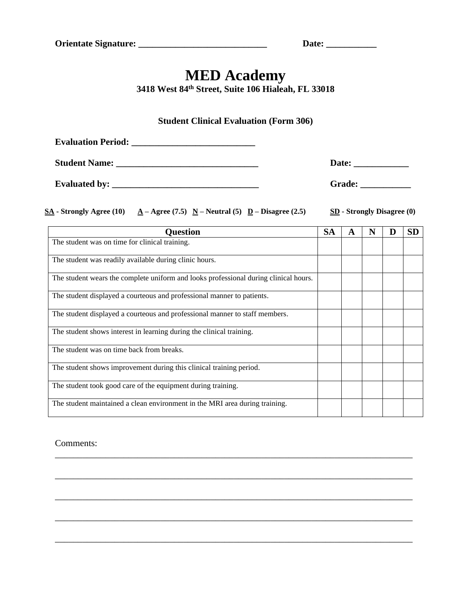**3418 West 84th Street, Suite 106 Hialeah, FL 33018** 

#### **Student Clinical Evaluation (Form 306)**

| <b>Evaluation Period:</b> |               |
|---------------------------|---------------|
| <b>Student Name:</b>      | Date:         |
| <b>Evaluated by:</b>      | <b>Grade:</b> |

**SA - Strongly Agree (10) A**  $-$  **Agree (7.5) N**  $-$  **Neutral (5) D**  $-$  **Disagree (2.5) SD**  $-$  **Strongly Disagree (0)** 

| <b>Ouestion</b>                                                                      | <b>SA</b> | A | N | D | <b>SD</b> |
|--------------------------------------------------------------------------------------|-----------|---|---|---|-----------|
| The student was on time for clinical training.                                       |           |   |   |   |           |
| The student was readily available during clinic hours.                               |           |   |   |   |           |
| The student wears the complete uniform and looks professional during clinical hours. |           |   |   |   |           |
| The student displayed a courteous and professional manner to patients.               |           |   |   |   |           |
| The student displayed a courteous and professional manner to staff members.          |           |   |   |   |           |
| The student shows interest in learning during the clinical training.                 |           |   |   |   |           |
| The student was on time back from breaks.                                            |           |   |   |   |           |
| The student shows improvement during this clinical training period.                  |           |   |   |   |           |
| The student took good care of the equipment during training.                         |           |   |   |   |           |
| The student maintained a clean environment in the MRI area during training.          |           |   |   |   |           |

\_\_\_\_\_\_\_\_\_\_\_\_\_\_\_\_\_\_\_\_\_\_\_\_\_\_\_\_\_\_\_\_\_\_\_\_\_\_\_\_\_\_\_\_\_\_\_\_\_\_\_\_\_\_\_\_\_\_\_\_\_\_\_\_\_\_\_\_\_\_\_\_\_\_\_\_\_\_

\_\_\_\_\_\_\_\_\_\_\_\_\_\_\_\_\_\_\_\_\_\_\_\_\_\_\_\_\_\_\_\_\_\_\_\_\_\_\_\_\_\_\_\_\_\_\_\_\_\_\_\_\_\_\_\_\_\_\_\_\_\_\_\_\_\_\_\_\_\_\_\_\_\_\_\_\_\_

\_\_\_\_\_\_\_\_\_\_\_\_\_\_\_\_\_\_\_\_\_\_\_\_\_\_\_\_\_\_\_\_\_\_\_\_\_\_\_\_\_\_\_\_\_\_\_\_\_\_\_\_\_\_\_\_\_\_\_\_\_\_\_\_\_\_\_\_\_\_\_\_\_\_\_\_\_\_

\_\_\_\_\_\_\_\_\_\_\_\_\_\_\_\_\_\_\_\_\_\_\_\_\_\_\_\_\_\_\_\_\_\_\_\_\_\_\_\_\_\_\_\_\_\_\_\_\_\_\_\_\_\_\_\_\_\_\_\_\_\_\_\_\_\_\_\_\_\_\_\_\_\_\_\_\_\_

\_\_\_\_\_\_\_\_\_\_\_\_\_\_\_\_\_\_\_\_\_\_\_\_\_\_\_\_\_\_\_\_\_\_\_\_\_\_\_\_\_\_\_\_\_\_\_\_\_\_\_\_\_\_\_\_\_\_\_\_\_\_\_\_\_\_\_\_\_\_\_\_\_\_\_\_\_\_

#### Comments: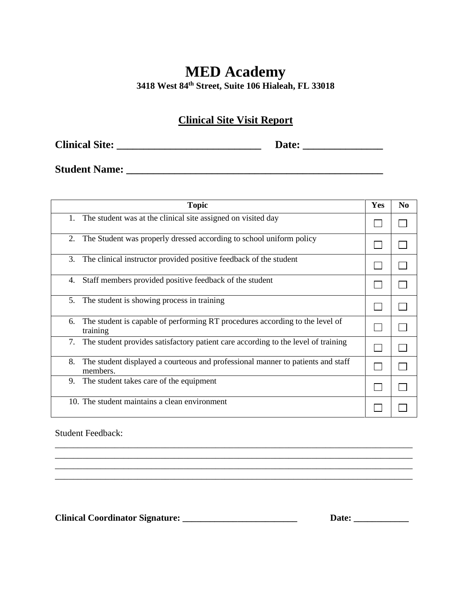**3418 West 84th Street, Suite 106 Hialeah, FL 33018** 

#### **Clinical Site Visit Report**

**Clinical Site: \_\_\_\_\_\_\_\_\_\_\_\_\_\_\_\_\_\_\_\_\_\_\_\_\_\_\_ Date: \_\_\_\_\_\_\_\_\_\_\_\_\_\_\_**

**Student Name: \_\_\_\_\_\_\_\_\_\_\_\_\_\_\_\_\_\_\_\_\_\_\_\_\_\_\_\_\_\_\_\_\_\_\_\_\_\_\_\_\_\_\_\_\_\_\_\_**

| <b>Topic</b>                                                                                      | Yes | N <sub>0</sub> |
|---------------------------------------------------------------------------------------------------|-----|----------------|
| The student was at the clinical site assigned on visited day<br>1.                                |     |                |
| 2.<br>The Student was properly dressed according to school uniform policy                         |     |                |
| The clinical instructor provided positive feedback of the student<br>3.                           |     |                |
| Staff members provided positive feedback of the student<br>4.                                     |     |                |
| The student is showing process in training<br>5.                                                  |     |                |
| The student is capable of performing RT procedures according to the level of<br>6.<br>training    |     |                |
| 7.<br>The student provides satisfactory patient care according to the level of training           |     |                |
| 8.<br>The student displayed a courteous and professional manner to patients and staff<br>members. |     |                |
| The student takes care of the equipment<br>9.                                                     |     |                |
| 10. The student maintains a clean environment                                                     |     |                |

\_\_\_\_\_\_\_\_\_\_\_\_\_\_\_\_\_\_\_\_\_\_\_\_\_\_\_\_\_\_\_\_\_\_\_\_\_\_\_\_\_\_\_\_\_\_\_\_\_\_\_\_\_\_\_\_\_\_\_\_\_\_\_\_\_\_\_\_\_\_\_\_\_\_\_\_\_\_ \_\_\_\_\_\_\_\_\_\_\_\_\_\_\_\_\_\_\_\_\_\_\_\_\_\_\_\_\_\_\_\_\_\_\_\_\_\_\_\_\_\_\_\_\_\_\_\_\_\_\_\_\_\_\_\_\_\_\_\_\_\_\_\_\_\_\_\_\_\_\_\_\_\_\_\_\_\_ \_\_\_\_\_\_\_\_\_\_\_\_\_\_\_\_\_\_\_\_\_\_\_\_\_\_\_\_\_\_\_\_\_\_\_\_\_\_\_\_\_\_\_\_\_\_\_\_\_\_\_\_\_\_\_\_\_\_\_\_\_\_\_\_\_\_\_\_\_\_\_\_\_\_\_\_\_\_ \_\_\_\_\_\_\_\_\_\_\_\_\_\_\_\_\_\_\_\_\_\_\_\_\_\_\_\_\_\_\_\_\_\_\_\_\_\_\_\_\_\_\_\_\_\_\_\_\_\_\_\_\_\_\_\_\_\_\_\_\_\_\_\_\_\_\_\_\_\_\_\_\_\_\_\_\_\_

Student Feedback:

**Clinical Coordinator Signature: \_\_\_\_\_\_\_\_\_\_\_\_\_\_\_\_\_\_\_\_\_\_\_\_\_ Date: \_\_\_\_\_\_\_\_\_\_\_\_**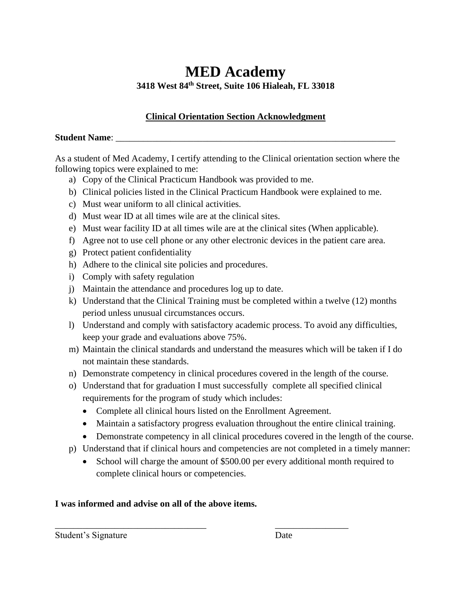## **MED Academy 3418 West 84th Street, Suite 106 Hialeah, FL 33018**

#### **Clinical Orientation Section Acknowledgment**

#### **Student Name:**

As a student of Med Academy, I certify attending to the Clinical orientation section where the following topics were explained to me:

- a) Copy of the Clinical Practicum Handbook was provided to me.
- b) Clinical policies listed in the Clinical Practicum Handbook were explained to me.
- c) Must wear uniform to all clinical activities.
- d) Must wear ID at all times wile are at the clinical sites.
- e) Must wear facility ID at all times wile are at the clinical sites (When applicable).
- f) Agree not to use cell phone or any other electronic devices in the patient care area.
- g) Protect patient confidentiality
- h) Adhere to the clinical site policies and procedures.
- i) Comply with safety regulation
- j) Maintain the attendance and procedures log up to date.
- k) Understand that the Clinical Training must be completed within a twelve (12) months period unless unusual circumstances occurs.
- l) Understand and comply with satisfactory academic process. To avoid any difficulties, keep your grade and evaluations above 75%.
- m) Maintain the clinical standards and understand the measures which will be taken if I do not maintain these standards.
- n) Demonstrate competency in clinical procedures covered in the length of the course.
- o) Understand that for graduation I must successfully complete all specified clinical requirements for the program of study which includes:
	- Complete all clinical hours listed on the Enrollment Agreement.
	- Maintain a satisfactory progress evaluation throughout the entire clinical training.
	- Demonstrate competency in all clinical procedures covered in the length of the course.
- p) Understand that if clinical hours and competencies are not completed in a timely manner:
	- School will charge the amount of \$500.00 per every additional month required to complete clinical hours or competencies.

\_\_\_\_\_\_\_\_\_\_\_\_\_\_\_\_\_\_\_\_\_\_\_\_\_\_\_\_\_\_\_\_\_ \_\_\_\_\_\_\_\_\_\_\_\_\_\_\_\_

#### **I was informed and advise on all of the above items.**

Student's Signature Date